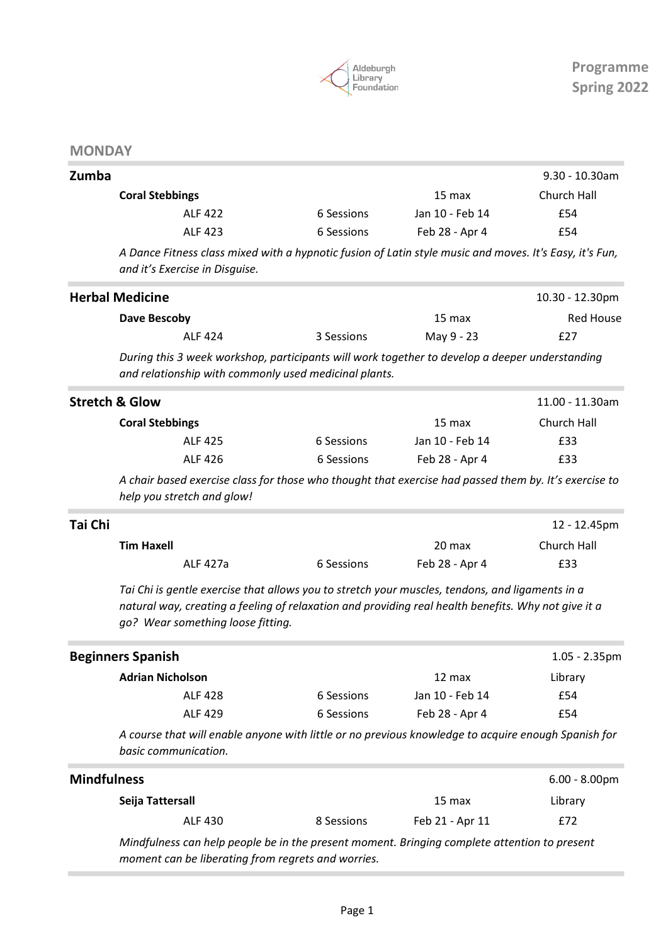

## **MONDAY**

| Zumba                  |                                                                                                                                      |                 | $9.30 - 10.30$ am |
|------------------------|--------------------------------------------------------------------------------------------------------------------------------------|-----------------|-------------------|
| <b>Coral Stebbings</b> |                                                                                                                                      | 15 max          | Church Hall       |
| <b>ALF 422</b>         | 6 Sessions                                                                                                                           | Jan 10 - Feb 14 | £54               |
| ALF 423                | 6 Sessions                                                                                                                           | Feb 28 - Apr 4  | £54               |
|                        | A construction of the second of the contract of the second contract of the contract of the contract of the contract of $\mathcal{C}$ |                 |                   |

A Dance Fitness class mixed with a hypnotic fusion of Latin style music and moves. It's Easy, it's Fun, and it's Exercise in Disguise.

|                    | <b>Herbal Medicine</b>                                                                                                                                                                                                                      |            |                 | 10.30 - 12.30pm  |
|--------------------|---------------------------------------------------------------------------------------------------------------------------------------------------------------------------------------------------------------------------------------------|------------|-----------------|------------------|
|                    | Dave Bescoby                                                                                                                                                                                                                                |            | 15 max          | <b>Red House</b> |
|                    | <b>ALF 424</b>                                                                                                                                                                                                                              | 3 Sessions | May 9 - 23      | £27              |
|                    | During this 3 week workshop, participants will work together to develop a deeper understanding<br>and relationship with commonly used medicinal plants.                                                                                     |            |                 |                  |
|                    | <b>Stretch &amp; Glow</b>                                                                                                                                                                                                                   |            |                 | 11.00 - 11.30am  |
|                    | <b>Coral Stebbings</b>                                                                                                                                                                                                                      |            | 15 max          | Church Hall      |
|                    | <b>ALF 425</b>                                                                                                                                                                                                                              | 6 Sessions | Jan 10 - Feb 14 | £33              |
|                    | <b>ALF 426</b>                                                                                                                                                                                                                              | 6 Sessions | Feb 28 - Apr 4  | £33              |
|                    | A chair based exercise class for those who thought that exercise had passed them by. It's exercise to<br>help you stretch and glow!                                                                                                         |            |                 |                  |
| Tai Chi            |                                                                                                                                                                                                                                             |            |                 | 12 - 12.45pm     |
|                    | <b>Tim Haxell</b>                                                                                                                                                                                                                           |            | 20 max          | Church Hall      |
|                    | ALF 427a                                                                                                                                                                                                                                    | 6 Sessions | Feb 28 - Apr 4  | £33              |
|                    | Tai Chi is gentle exercise that allows you to stretch your muscles, tendons, and ligaments in a<br>natural way, creating a feeling of relaxation and providing real health benefits. Why not give it a<br>go? Wear something loose fitting. |            |                 |                  |
|                    | <b>Beginners Spanish</b>                                                                                                                                                                                                                    |            |                 | $1.05 - 2.35$ pm |
|                    | <b>Adrian Nicholson</b>                                                                                                                                                                                                                     |            | 12 max          | Library          |
|                    | <b>ALF 428</b>                                                                                                                                                                                                                              | 6 Sessions | Jan 10 - Feb 14 | £54              |
|                    | ALF 429                                                                                                                                                                                                                                     | 6 Sessions | Feb 28 - Apr 4  | £54              |
|                    | A course that will enable anyone with little or no previous knowledge to acquire enough Spanish for<br>basic communication.                                                                                                                 |            |                 |                  |
| <b>Mindfulness</b> |                                                                                                                                                                                                                                             |            |                 | $6.00 - 8.00$ pm |
|                    | Seija Tattersall                                                                                                                                                                                                                            |            | 15 max          | Library          |
|                    | <b>ALF 430</b>                                                                                                                                                                                                                              | 8 Sessions | Feb 21 - Apr 11 | £72              |

Mindfulness can help people be in the present moment. Bringing complete attention to present moment can be liberating from regrets and worries.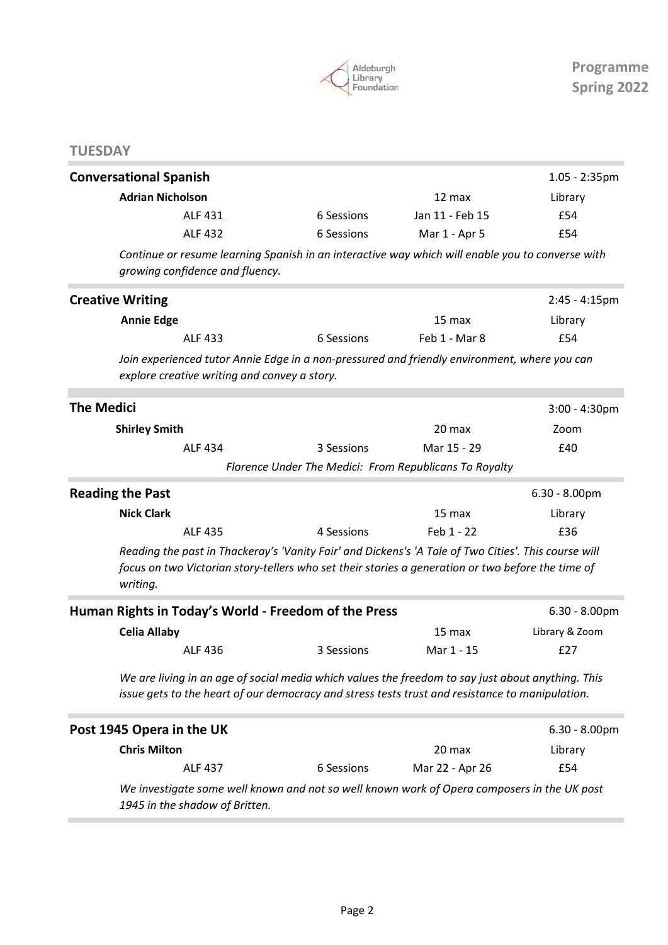

# **TUESDAY**

| <b>Conversational Spanish</b>                                                                                                                                                                                         |                                                        |                   | $1.05 - 2:35$ pm |
|-----------------------------------------------------------------------------------------------------------------------------------------------------------------------------------------------------------------------|--------------------------------------------------------|-------------------|------------------|
| <b>Adrian Nicholson</b>                                                                                                                                                                                               |                                                        | 12 max            | Library          |
| <b>ALF 431</b>                                                                                                                                                                                                        | 6 Sessions                                             | Jan 11 - Feb 15   | £54              |
| <b>ALF 432</b>                                                                                                                                                                                                        | 6 Sessions                                             | Mar 1 - Apr 5     | £54              |
| Continue or resume learning Spanish in an interactive way which will enable you to converse with<br>growing confidence and fluency.                                                                                   |                                                        |                   |                  |
| <b>Creative Writing</b>                                                                                                                                                                                               |                                                        |                   | $2:45 - 4:15$ pm |
| <b>Annie Edge</b>                                                                                                                                                                                                     |                                                        | 15 <sub>max</sub> | Library          |
| ALF 433                                                                                                                                                                                                               | 6 Sessions                                             | Feb 1 - Mar 8     | £54              |
| Join experienced tutor Annie Edge in a non-pressured and friendly environment, where you can<br>explore creative writing and convey a story.                                                                          |                                                        |                   |                  |
| <b>The Medici</b>                                                                                                                                                                                                     |                                                        |                   | $3:00 - 4:30$ pm |
| <b>Shirley Smith</b>                                                                                                                                                                                                  |                                                        | 20 max            | Zoom             |
| <b>ALF 434</b>                                                                                                                                                                                                        | 3 Sessions                                             | Mar 15 - 29       | £40              |
|                                                                                                                                                                                                                       | Florence Under The Medici: From Republicans To Royalty |                   |                  |
| <b>Reading the Past</b>                                                                                                                                                                                               |                                                        |                   | $6.30 - 8.00$ pm |
| <b>Nick Clark</b>                                                                                                                                                                                                     |                                                        | 15 max            | Library          |
| <b>ALF 435</b>                                                                                                                                                                                                        | 4 Sessions                                             | Feb 1 - 22        | £36              |
| Reading the past in Thackeray's 'Vanity Fair' and Dickens's 'A Tale of Two Cities'. This course will<br>focus on two Victorian story-tellers who set their stories a generation or two before the time of<br>writing. |                                                        |                   |                  |
| Human Rights in Today's World - Freedom of the Press                                                                                                                                                                  |                                                        |                   | $6.30 - 8.00$ pm |
| <b>Celia Allaby</b>                                                                                                                                                                                                   |                                                        | 15 max            | Library & Zoom   |
| ALF 436                                                                                                                                                                                                               | 3 Sessions                                             | Mar 1 - 15        | £27              |
| We are living in an age of social media which values the freedom to say just about anything. This<br>issue gets to the heart of our democracy and stress tests trust and resistance to manipulation.                  |                                                        |                   |                  |
| Post 1945 Opera in the UK                                                                                                                                                                                             |                                                        |                   | $6.30 - 8.00$ pm |
| <b>Chris Milton</b>                                                                                                                                                                                                   |                                                        | 20 max            | Library          |
| <b>ALF 437</b>                                                                                                                                                                                                        | 6 Sessions                                             | Mar 22 - Apr 26   | £54              |
| We investigate some well known and not so well known work of Opera composers in the UK post<br>1945 in the shadow of Britten.                                                                                         |                                                        |                   |                  |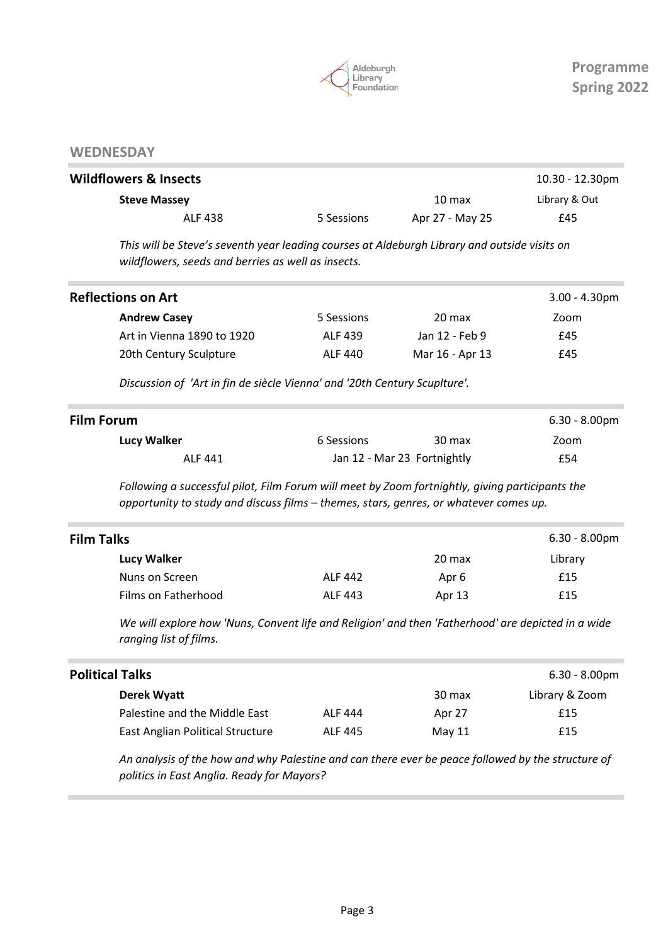

## **WEDNESDAY**

| <b>Wildflowers &amp; Insects</b> |            |                   | $10.30 - 12.30$ pm |
|----------------------------------|------------|-------------------|--------------------|
| <b>Steve Massey</b>              |            | 10 <sub>max</sub> | Library & Out      |
| ALF 438                          | 5 Sessions | Apr 27 - May 25   | £45                |

This will be Steve's seventh year leading courses at Aldeburgh Library and outside visits on wildflowers, seeds and berries as well as insects.

|            |                 | $3.00 - 4.30$ pm |
|------------|-----------------|------------------|
| 5 Sessions | 20 max          | Zoom             |
| ALF 439    | Jan 12 - Feb 9  | £45              |
| ALF 440    | Mar 16 - Apr 13 | £45              |
|            |                 |                  |

Discussion of 'Art in fin de siècle Vienna' and '20th Century Scuplture'.

| <b>Film Forum</b> |            |                             | $6.30 - 8.00$ pm |
|-------------------|------------|-----------------------------|------------------|
| Lucy Walker       | 6 Sessions | 30 max                      | Zoom             |
| ALF 441           |            | Jan 12 - Mar 23 Fortnightly | £54              |

Following a successful pilot, Film Forum will meet by Zoom fortnightly, giving participants the opportunity to study and discuss films – themes, stars, genres, or whatever comes up.

| <b>Film Talks</b>   |                |        | $6.30 - 8.00$ pm |
|---------------------|----------------|--------|------------------|
| Lucy Walker         |                | 20 max | Library          |
| Nuns on Screen      | <b>ALF 442</b> | Apr 6  | £15              |
| Films on Fatherhood | <b>ALF 443</b> | Apr 13 | £15              |

We will explore how 'Nuns, Convent life and Religion' and then 'Fatherhood' are depicted in a wide ranging list of films.

| <b>Political Talks</b>           |                |        | $6.30 - 8.00$ pm |
|----------------------------------|----------------|--------|------------------|
| Derek Wyatt                      |                | 30 max | Library & Zoom   |
| Palestine and the Middle East    | <b>ALF 444</b> | Apr 27 | £15              |
| East Anglian Political Structure | <b>ALF 445</b> | May 11 | £15              |
|                                  |                |        |                  |

An analysis of the how and why Palestine and can there ever be peace followed by the structure of politics in East Anglia. Ready for Mayors?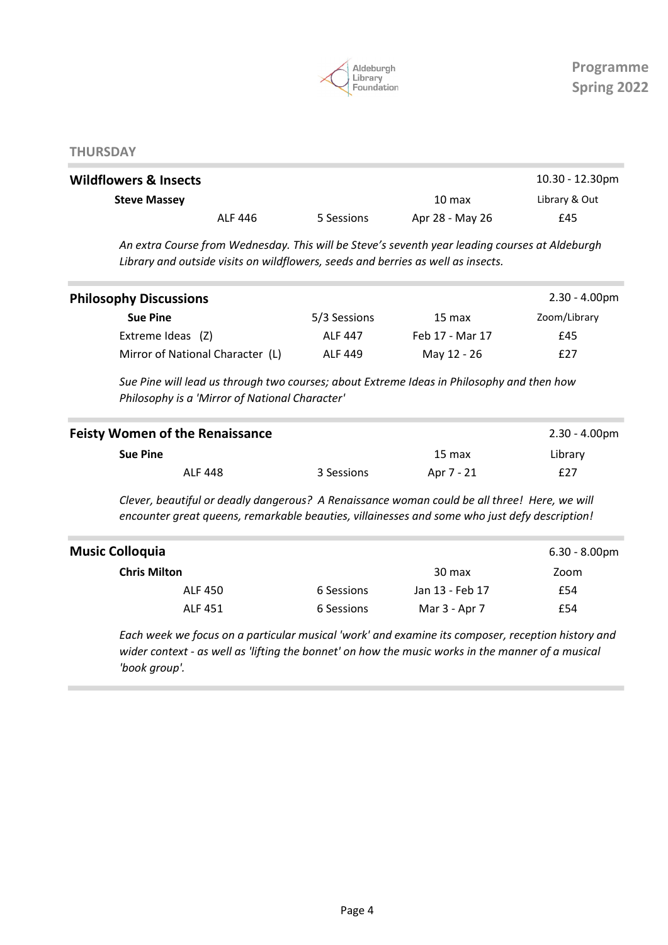

#### **THURSDAY**

| <b>Wildflowers &amp; Insects</b> |         |            |                  | $10.30 - 12.30$ pm |
|----------------------------------|---------|------------|------------------|--------------------|
| <b>Steve Massey</b>              |         |            | $10 \text{ max}$ | Library & Out      |
|                                  | ALF 446 | 5 Sessions | Apr 28 - May 26  | £45                |

An extra Course from Wednesday. This will be Steve's seventh year leading courses at Aldeburgh Library and outside visits on wildflowers, seeds and berries as well as insects.

| <b>Philosophy Discussions</b>    |                |                 | $2.30 - 4.00 \text{pm}$ |
|----------------------------------|----------------|-----------------|-------------------------|
| <b>Sue Pine</b>                  | 5/3 Sessions   | 15 max          | Zoom/Library            |
| Extreme Ideas (Z)                | <b>ALF 447</b> | Feb 17 - Mar 17 | £45                     |
| Mirror of National Character (L) | ALF 449        | May 12 - 26     | £27                     |
|                                  |                |                 |                         |

Sue Pine will lead us through two courses; about Extreme Ideas in Philosophy and then how Philosophy is a 'Mirror of National Character'

| <b>Feisty Women of the Renaissance</b> |         |            |            | 2.30 - 4.00pm |
|----------------------------------------|---------|------------|------------|---------------|
| <b>Sue Pine</b>                        |         |            | 15 max     | Library       |
|                                        | ALF 448 | 3 Sessions | Apr 7 - 21 | £27           |

Clever, beautiful or deadly dangerous? A Renaissance woman could be all three! Here, we will encounter great queens, remarkable beauties, villainesses and some who just defy description!

| <b>Music Colloquia</b> |            |                 | $6.30 - 8.00$ pm |
|------------------------|------------|-----------------|------------------|
| <b>Chris Milton</b>    |            | 30 max          | Zoom             |
| ALF 450                | 6 Sessions | Jan 13 - Feb 17 | £54              |
| ALF 451                | 6 Sessions | Mar 3 - Apr 7   | £54              |

Each week we focus on a particular musical 'work' and examine its composer, reception history and wider context - as well as 'lifting the bonnet' on how the music works in the manner of a musical 'book group'.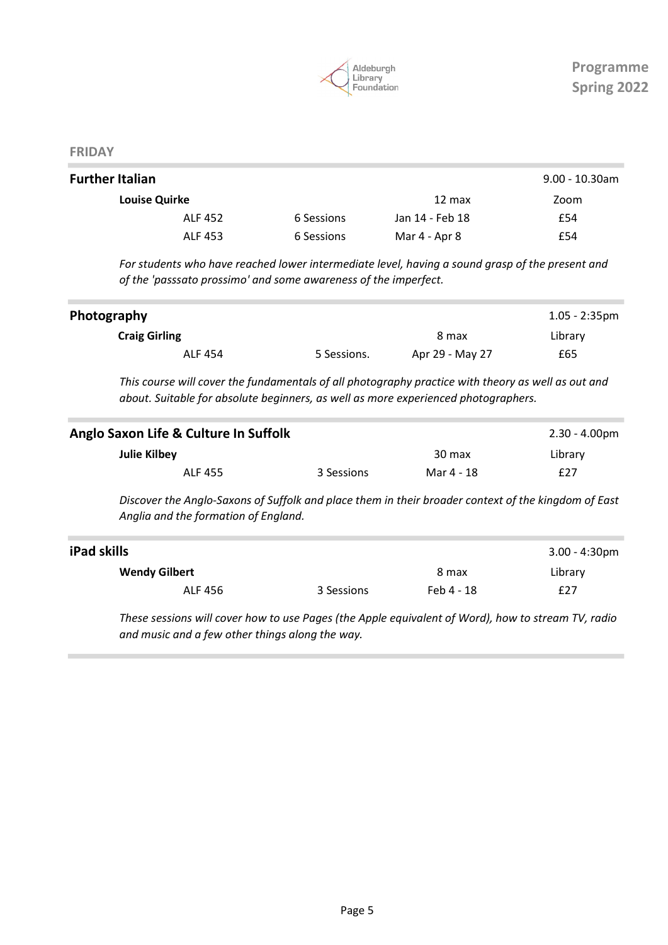

#### FRIDAY

| <b>Further Italian</b> |            |                  | $9.00 - 10.30$ am |
|------------------------|------------|------------------|-------------------|
| <b>Louise Quirke</b>   |            | $12 \text{ max}$ | Zoom              |
| ALF 452                | 6 Sessions | Jan 14 - Feb 18  | £54               |
| ALF 453                | 6 Sessions | Mar 4 - Apr 8    | £54               |

For students who have reached lower intermediate level, having a sound grasp of the present and of the 'passsato prossimo' and some awareness of the imperfect.

|             |                 | $1.05 - 2:35$ pm |
|-------------|-----------------|------------------|
|             | 8 max           | Library          |
| 5 Sessions. | Apr 29 - May 27 | £65              |
|             |                 |                  |

This course will cover the fundamentals of all photography practice with theory as well as out and about. Suitable for absolute beginners, as well as more experienced photographers.

| Anglo Saxon Life & Culture In Suffolk |            |            | $2.30 - 4.00 \text{pm}$ |
|---------------------------------------|------------|------------|-------------------------|
| Julie Kilbey                          |            | 30 max     | Library                 |
| <b>ALF 455</b>                        | 3 Sessions | Mar 4 - 18 | £27                     |

Discover the Anglo-Saxons of Suffolk and place them in their broader context of the kingdom of East Anglia and the formation of England.

| iPad skills          |            |            | $3.00 - 4:30 \text{pm}$ |
|----------------------|------------|------------|-------------------------|
| <b>Wendy Gilbert</b> |            | 8 max      | Library                 |
| ALF 456              | 3 Sessions | Feb 4 - 18 | £27                     |

These sessions will cover how to use Pages (the Apple equivalent of Word), how to stream TV, radio and music and a few other things along the way.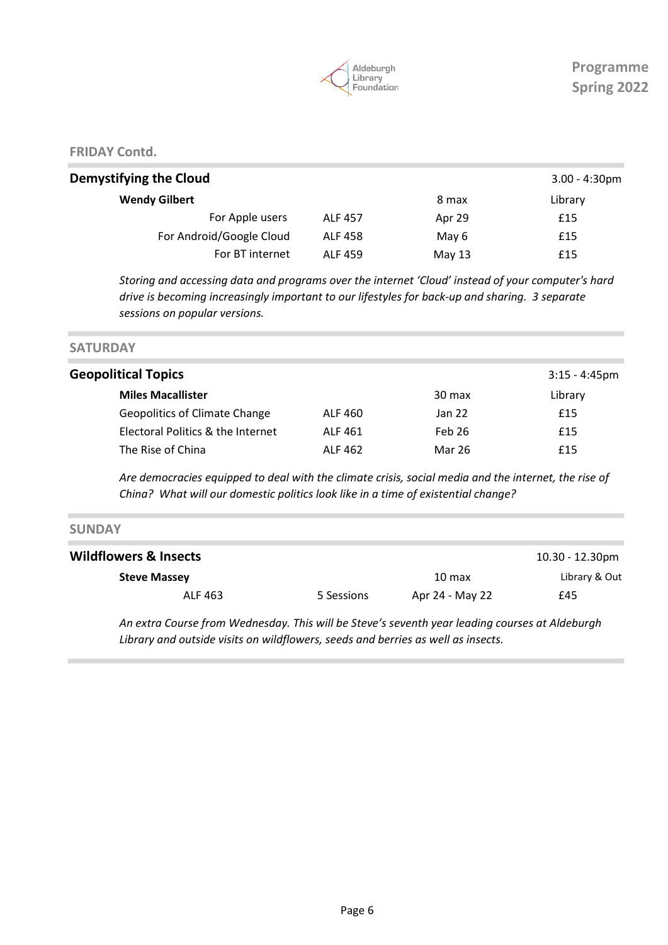

FRIDAY Contd.

|                |          | $3.00 - 4:30$ pm |
|----------------|----------|------------------|
|                | 8 max    | Library          |
| <b>ALF 457</b> | Apr 29   | £15              |
| <b>ALF 458</b> | May 6    | £15              |
| <b>ALF 459</b> | May $13$ | £15              |
|                |          |                  |

Storing and accessing data and programs over the internet 'Cloud' instead of your computer's hard drive is becoming increasingly important to our lifestyles for back-up and sharing. 3 separate sessions on popular versions.

**SATURDAY** 

| <b>Geopolitical Topics</b>           |         |        | $3:15 - 4:45$ pm |
|--------------------------------------|---------|--------|------------------|
| <b>Miles Macallister</b>             |         | 30 max | Library          |
| <b>Geopolitics of Climate Change</b> | ALF 460 | Jan 22 | £15              |
| Electoral Politics & the Internet    | ALF 461 | Feb 26 | £15              |
| The Rise of China                    | ALF 462 | Mar 26 | £15              |
|                                      |         |        |                  |

Are democracies equipped to deal with the climate crisis, social media and the internet, the rise of China? What will our domestic politics look like in a time of existential change?

| <b>SUNDAY</b>                    |            |                 |                 |
|----------------------------------|------------|-----------------|-----------------|
| <b>Wildflowers &amp; Insects</b> |            |                 | 10.30 - 12.30pm |
| <b>Steve Massey</b>              |            | 10 max          | Library & Out   |
| ALF 463                          | 5 Sessions | Apr 24 - May 22 | £45             |

An extra Course from Wednesday. This will be Steve's seventh year leading courses at Aldeburgh Library and outside visits on wildflowers, seeds and berries as well as insects.